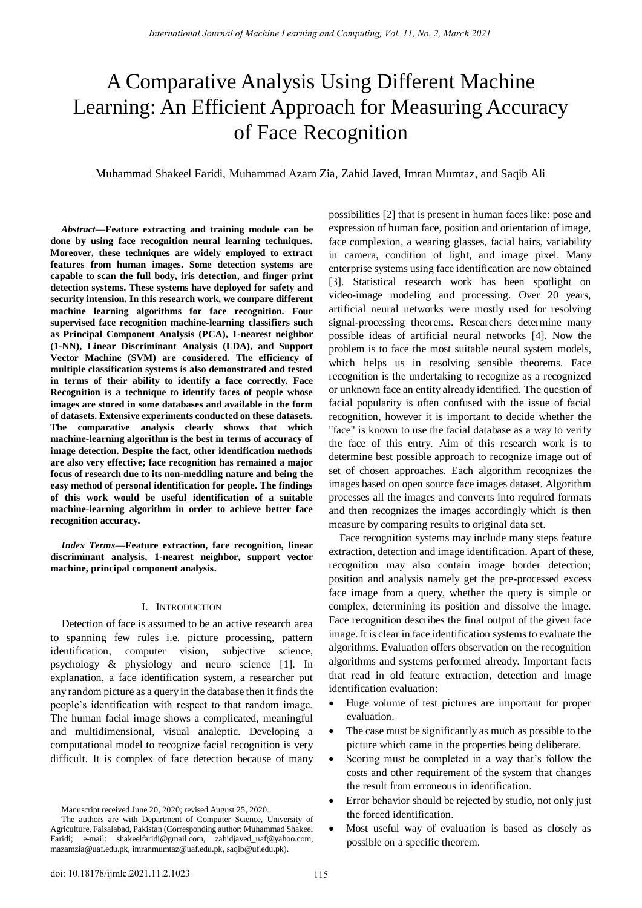# A Comparative Analysis Using Different Machine Learning: An Efficient Approach for Measuring Accuracy of Face Recognition

Muhammad Shakeel Faridi, Muhammad Azam Zia, Zahid Javed, Imran Mumtaz, and Saqib Ali

*Abstract***—Feature extracting and training module can be done by using face recognition neural learning techniques. Moreover, these techniques are widely employed to extract features from human images. Some detection systems are capable to scan the full body, iris detection, and finger print detection systems. These systems have deployed for safety and security intension. In this research work, we compare different machine learning algorithms for face recognition. Four supervised face recognition machine-learning classifiers such as Principal Component Analysis (PCA), 1-nearest neighbor (1-NN), Linear Discriminant Analysis (LDA), and Support Vector Machine (SVM) are considered. The efficiency of multiple classification systems is also demonstrated and tested in terms of their ability to identify a face correctly. Face Recognition is a technique to identify faces of people whose images are stored in some databases and available in the form of datasets. Extensive experiments conducted on these datasets. The comparative analysis clearly shows that which machine-learning algorithm is the best in terms of accuracy of image detection. Despite the fact, other identification methods are also very effective; face recognition has remained a major focus of research due to its non-meddling nature and being the easy method of personal identification for people. The findings of this work would be useful identification of a suitable machine-learning algorithm in order to achieve better face recognition accuracy.** 

*Index Terms***—Feature extraction, face recognition, linear discriminant analysis, 1-nearest neighbor, support vector machine, principal component analysis.** 

# I. INTRODUCTION

Detection of face is assumed to be an active research area to spanning few rules i.e. picture processing, pattern identification, computer vision, subjective science, psychology & physiology and neuro science [1]. In explanation, a face identification system, a researcher put any random picture as a query in the database then it finds the people's identification with respect to that random image. The human facial image shows a complicated, meaningful and multidimensional, visual analeptic. Developing a computational model to recognize facial recognition is very difficult. It is complex of face detection because of many

Manuscript received June 20, 2020; revised August 25, 2020.

possibilities [2] that is present in human faces like: pose and expression of human face, position and orientation of image, face complexion, a wearing glasses, facial hairs, variability in camera, condition of light, and image pixel. Many enterprise systems using face identification are now obtained [3]. Statistical research work has been spotlight on video-image modeling and processing. Over 20 years, artificial neural networks were mostly used for resolving signal-processing theorems. Researchers determine many possible ideas of artificial neural networks [4]. Now the problem is to face the most suitable neural system models, which helps us in resolving sensible theorems. Face recognition is the undertaking to recognize as a recognized or unknown face an entity already identified. The question of facial popularity is often confused with the issue of facial recognition, however it is important to decide whether the "face" is known to use the facial database as a way to verify the face of this entry. Aim of this research work is to determine best possible approach to recognize image out of set of chosen approaches. Each algorithm recognizes the images based on open source face images dataset. Algorithm processes all the images and converts into required formats and then recognizes the images accordingly which is then measure by comparing results to original data set.

Face recognition systems may include many steps feature extraction, detection and image identification. Apart of these, recognition may also contain image border detection; position and analysis namely get the pre-processed excess face image from a query, whether the query is simple or complex, determining its position and dissolve the image. Face recognition describes the final output of the given face image. It is clear in face identification systems to evaluate the algorithms. Evaluation offers observation on the recognition algorithms and systems performed already. Important facts that read in old feature extraction, detection and image identification evaluation:

- Huge volume of test pictures are important for proper evaluation.
- The case must be significantly as much as possible to the picture which came in the properties being deliberate.
- Scoring must be completed in a way that's follow the costs and other requirement of the system that changes the result from erroneous in identification.
- Error behavior should be rejected by studio, not only just the forced identification.
- Most useful way of evaluation is based as closely as possible on a specific theorem.

The authors are with Department of Computer Science, University of Agriculture, Faisalabad, Pakistan (Corresponding author: Muhammad Shakeel Faridi; e-mail: [shakeelfaridi@gmail.com,](mailto:shakeelfaridi@gmail.com) [zahidjaved\\_uaf@yahoo.com,](mailto:zahidjaved_uaf@yahoo.com)  [mazamzia@uaf.edu.pk,](mailto:mazamzia@uaf.edu.pk) [imranmumtaz@uaf.edu.pk,](mailto:imranmumtaz@uaf.edu.pk) [saqib@uf.edu.pk\)](mailto:saqib@uf.edu.pk).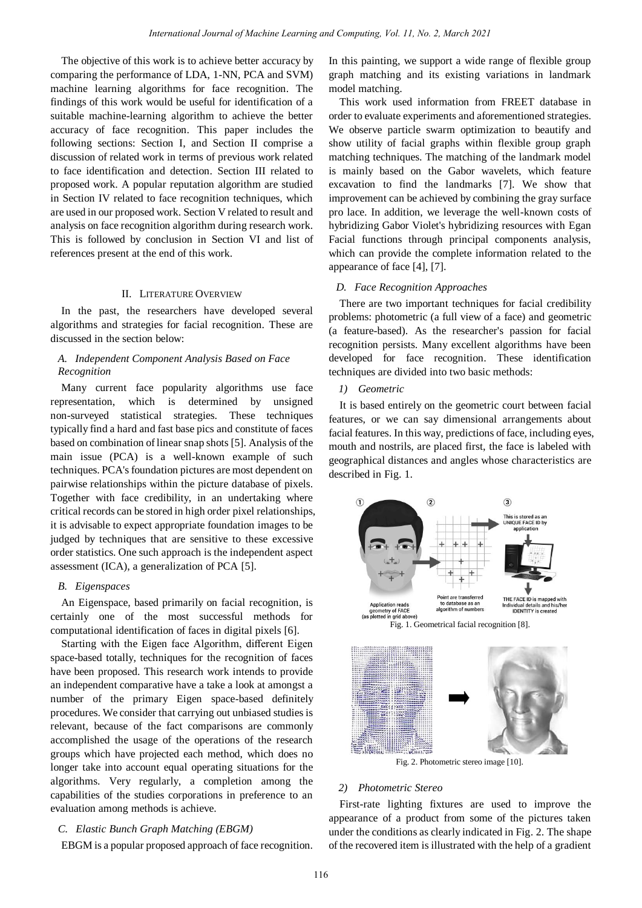The objective of this work is to achieve better accuracy by comparing the performance of LDA, 1-NN, PCA and SVM) machine learning algorithms for face recognition. The findings of this work would be useful for identification of a suitable machine-learning algorithm to achieve the better accuracy of face recognition. This paper includes the following sections: Section I, and Section II comprise a discussion of related work in terms of previous work related to face identification and detection. Section III related to proposed work. A popular reputation algorithm are studied in Section IV related to face recognition techniques, which are used in our proposed work. Section V related to result and analysis on face recognition algorithm during research work. This is followed by conclusion in Section VI and list of references present at the end of this work.

#### II. LITERATURE OVERVIEW

In the past, the researchers have developed several algorithms and strategies for facial recognition. These are discussed in the section below:

# *A. Independent Component Analysis Based on Face Recognition*

Many current face popularity algorithms use face representation, which is determined by unsigned non-surveyed statistical strategies. These techniques typically find a hard and fast base pics and constitute of faces based on combination of linear snap shots [5]. Analysis of the main issue (PCA) is a well-known example of such techniques. PCA's foundation pictures are most dependent on pairwise relationships within the picture database of pixels. Together with face credibility, in an undertaking where critical records can be stored in high order pixel relationships, it is advisable to expect appropriate foundation images to be judged by techniques that are sensitive to these excessive order statistics. One such approach is the independent aspect assessment (ICA), a generalization of PCA [5].

## *B. Eigenspaces*

An Eigenspace, based primarily on facial recognition, is certainly one of the most successful methods for computational identification of faces in digital pixels [6].

Starting with the Eigen face Algorithm, different Eigen space-based totally, techniques for the recognition of faces have been proposed. This research work intends to provide an independent comparative have a take a look at amongst a number of the primary Eigen space-based definitely procedures. We consider that carrying out unbiased studies is relevant, because of the fact comparisons are commonly accomplished the usage of the operations of the research groups which have projected each method, which does no longer take into account equal operating situations for the algorithms. Very regularly, a completion among the capabilities of the studies corporations in preference to an evaluation among methods is achieve.

#### *C. Elastic Bunch Graph Matching (EBGM)*

EBGM is a popular proposed approach of face recognition.

In this painting, we support a wide range of flexible group graph matching and its existing variations in landmark model matching.

This work used information from FREET database in order to evaluate experiments and aforementioned strategies. We observe particle swarm optimization to beautify and show utility of facial graphs within flexible group graph matching techniques. The matching of the landmark model is mainly based on the Gabor wavelets, which feature excavation to find the landmarks [7]. We show that improvement can be achieved by combining the gray surface pro lace. In addition, we leverage the well-known costs of hybridizing Gabor Violet's hybridizing resources with Egan Facial functions through principal components analysis, which can provide the complete information related to the appearance of face [4], [7].

# *D. Face Recognition Approaches*

There are two important techniques for facial credibility problems: photometric (a full view of a face) and geometric (a feature-based). As the researcher's passion for facial recognition persists. Many excellent algorithms have been developed for face recognition. These identification techniques are divided into two basic methods:

#### *1) Geometric*

It is based entirely on the geometric court between facial features, or we can say dimensional arrangements about facial features. In this way, predictions of face, including eyes, mouth and nostrils, are placed first, the face is labeled with geographical distances and angles whose characteristics are described in Fig. 1.



Fig. 2. Photometric stereo image [10].

# *2) Photometric Stereo*

First-rate lighting fixtures are used to improve the appearance of a product from some of the pictures taken under the conditions as clearly indicated in Fig. 2. The shape of the recovered item is illustrated with the help of a gradient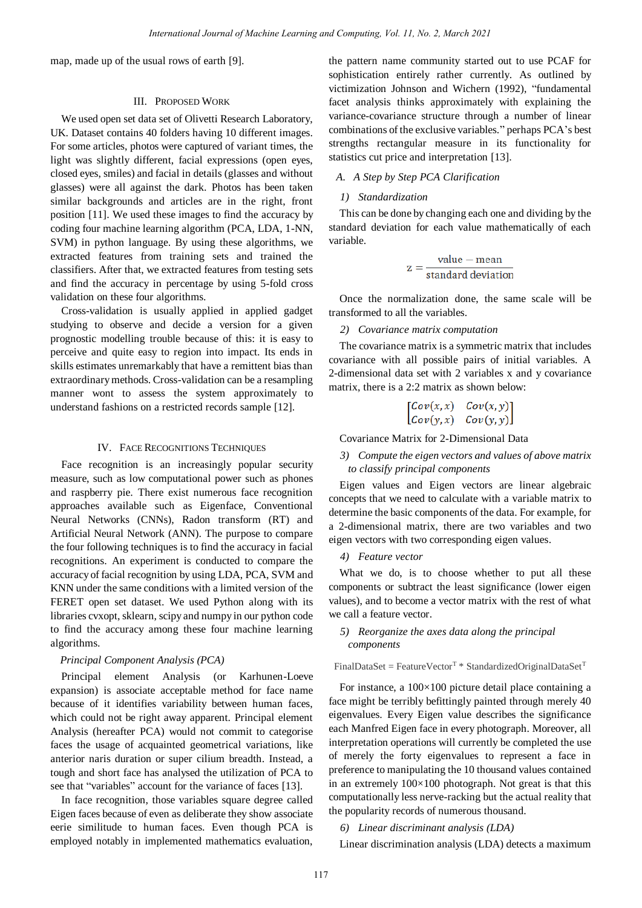map, made up of the usual rows of earth [9].

# III. PROPOSED WORK

We used open set data set of Olivetti Research Laboratory, UK. Dataset contains 40 folders having 10 different images. For some articles, photos were captured of variant times, the light was slightly different, facial expressions (open eyes, closed eyes, smiles) and facial in details (glasses and without glasses) were all against the dark. Photos has been taken similar backgrounds and articles are in the right, front position [11]. We used these images to find the accuracy by coding four machine learning algorithm (PCA, LDA, 1-NN, SVM) in python language. By using these algorithms, we extracted features from training sets and trained the classifiers. After that, we extracted features from testing sets and find the accuracy in percentage by using 5-fold cross validation on these four algorithms.

Cross-validation is usually applied in applied gadget studying to observe and decide a version for a given prognostic modelling trouble because of this: it is easy to perceive and quite easy to region into impact. Its ends in skills estimates unremarkably that have a remittent bias than extraordinary methods. Cross-validation can be a resampling manner wont to assess the system approximately to understand fashions on a restricted records sample [12].

## IV. FACE RECOGNITIONS TECHNIQUES

Face recognition is an increasingly popular security measure, such as low computational power such as phones and raspberry pie. There exist numerous face recognition approaches available such as Eigenface, Conventional Neural Networks (CNNs), Radon transform (RT) and Artificial Neural Network (ANN). The purpose to compare the four following techniques is to find the accuracy in facial recognitions. An experiment is conducted to compare the accuracy of facial recognition by using LDA, PCA, SVM and KNN under the same conditions with a limited version of the FERET open set dataset. We used Python along with its libraries cvxopt, sklearn, scipy and numpy in our python code to find the accuracy among these four machine learning algorithms.

# *Principal Component Analysis (PCA)*

Principal element Analysis (or Karhunen-Loeve expansion) is associate acceptable method for face name because of it identifies variability between human faces, which could not be right away apparent. Principal element Analysis (hereafter PCA) would not commit to categorise faces the usage of acquainted geometrical variations, like anterior naris duration or super cilium breadth. Instead, a tough and short face has analysed the utilization of PCA to see that "variables" account for the variance of faces [13].

In face recognition, those variables square degree called Eigen faces because of even as deliberate they show associate eerie similitude to human faces. Even though PCA is employed notably in implemented mathematics evaluation,

the pattern name community started out to use PCAF for sophistication entirely rather currently. As outlined by victimization Johnson and Wichern (1992), "fundamental facet analysis thinks approximately with explaining the variance-covariance structure through a number of linear combinations of the exclusive variables." perhaps PCA's best strengths rectangular measure in its functionality for statistics cut price and interpretation [13].

# *A. A Step by Step PCA Clarification*

# *1) Standardization*

This can be done by changing each one and dividing by the standard deviation for each value mathematically of each variable.

$$
z = \frac{value - mean}{standard deviation}
$$

Once the normalization done, the same scale will be transformed to all the variables.

## *2) Covariance matrix computation*

The covariance matrix is a symmetric matrix that includes covariance with all possible pairs of initial variables. A 2-dimensional data set with 2 variables x and y covariance matrix, there is a 2:2 matrix as shown below:

$$
\begin{bmatrix} Cov(x, x) & Cov(x, y) \\ Cov(y, x) & Cov(y, y) \end{bmatrix}
$$

Covariance Matrix for 2-Dimensional Data

# *3) Compute the eigen vectors and values of above matrix to classify principal components*

Eigen values and Eigen vectors are linear algebraic concepts that we need to calculate with a variable matrix to determine the basic components of the data. For example, for a 2-dimensional matrix, there are two variables and two eigen vectors with two corresponding eigen values.

#### *4) Feature vector*

What we do, is to choose whether to put all these components or subtract the least significance (lower eigen values), and to become a vector matrix with the rest of what we call a feature vector.

# *5) Reorganize the axes data along the principal components*

 $FinalDataSet = FeatureVector<sup>T</sup> * StandardizedOriginalDataSet<sup>T</sup>$ 

For instance, a 100×100 picture detail place containing a face might be terribly befittingly painted through merely 40 eigenvalues. Every Eigen value describes the significance each Manfred Eigen face in every photograph. Moreover, all interpretation operations will currently be completed the use of merely the forty eigenvalues to represent a face in preference to manipulating the 10 thousand values contained in an extremely  $100\times100$  photograph. Not great is that this computationally less nerve-racking but the actual reality that the popularity records of numerous thousand.

*6) Linear discriminant analysis (LDA)* 

Linear discrimination analysis (LDA) detects a maximum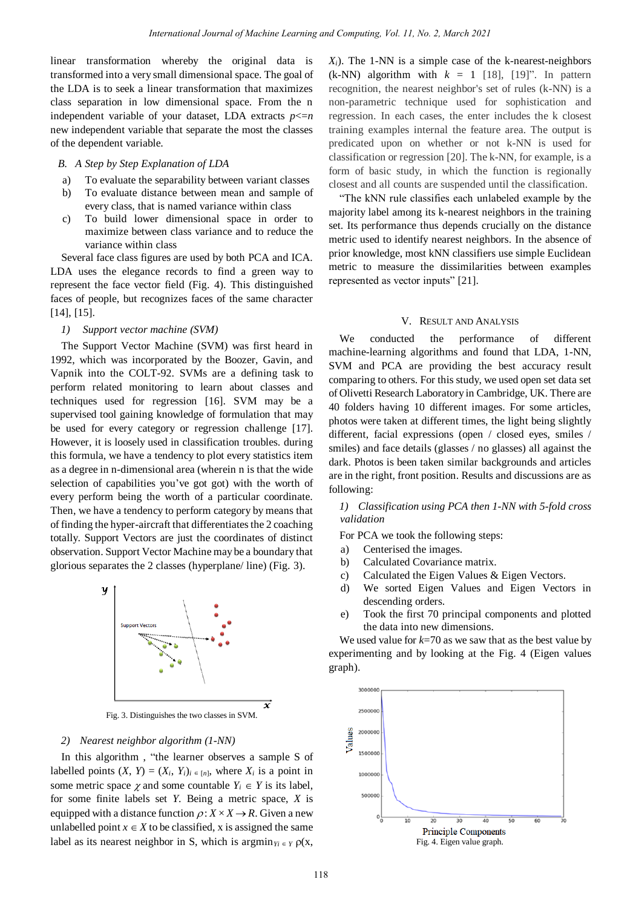linear transformation whereby the original data is transformed into a very small dimensional space. The goal of the LDA is to seek a linear transformation that maximizes class separation in low dimensional space. From the n independent variable of your dataset, LDA extracts  $p \leq n$ new independent variable that separate the most the classes of the dependent variable.

# *B. A Step by Step Explanation of LDA*

- a) To evaluate the separability between variant classes
- b) To evaluate distance between mean and sample of every class, that is named variance within class
- c) To build lower dimensional space in order to maximize between class variance and to reduce the variance within class

Several face class figures are used by both PCA and ICA. LDA uses the elegance records to find a green way to represent the face vector field (Fig. 4). This distinguished faces of people, but recognizes faces of the same character [14], [15].

## *1) Support vector machine (SVM)*

The Support Vector Machine (SVM) was first heard in 1992, which was incorporated by the Boozer, Gavin, and Vapnik into the COLT-92. SVMs are a defining task to perform related monitoring to learn about classes and techniques used for regression [16]. SVM may be a supervised tool gaining knowledge of formulation that may be used for every category or regression challenge [17]. However, it is loosely used in classification troubles. during this formula, we have a tendency to plot every statistics item as a degree in n-dimensional area (wherein n is that the wide selection of capabilities you've got got) with the worth of every perform being the worth of a particular coordinate. Then, we have a tendency to perform category by means that of finding the hyper-aircraft that differentiates the 2 coaching totally. Support Vectors are just the coordinates of distinct observation. Support Vector Machine may be a boundary that glorious separates the 2 classes (hyperplane/ line) (Fig. 3).



Fig. 3. Distinguishes the two classes in SVM.

#### *2) Nearest neighbor algorithm (1-NN)*

In this algorithm , "the learner observes a sample S of labelled points  $(X, Y) = (X_i, Y_i)_{i \in [n]}$ , where  $X_i$  is a point in some metric space  $\chi$  and some countable  $Y_i \in Y$  is its label, for some finite labels set *Y*. Being a metric space, *X* is equipped with a distance function  $\rho: X \times X \rightarrow R$ . Given a new unlabelled point  $x \in X$  to be classified, x is assigned the same label as its nearest neighbor in S, which is  $\arg\min_{Y_i \in Y} \rho(x,$ 

 $X_i$ ). The 1-NN is a simple case of the k-nearest-neighbors (k-NN) algorithm with  $k = 1$  [18], [19]". In pattern recognition, the nearest neighbor's set of rules (k-NN) is a non-parametric technique used for sophistication and regression. In each cases, the enter includes the k closest training examples internal the feature area. The output is predicated upon on whether or not k-NN is used for classification or regression [20]. The k-NN, for example, is a form of basic study, in which the function is regionally closest and all counts are suspended until the classification.

"The kNN rule classifies each unlabeled example by the majority label among its k-nearest neighbors in the training set. Its performance thus depends crucially on the distance metric used to identify nearest neighbors. In the absence of prior knowledge, most kNN classifiers use simple Euclidean metric to measure the dissimilarities between examples represented as vector inputs" [21].

#### V. RESULT AND ANALYSIS

We conducted the performance of different machine-learning algorithms and found that LDA, 1-NN, SVM and PCA are providing the best accuracy result comparing to others. For this study, we used open set data set of Olivetti Research Laboratory in Cambridge, UK. There are 40 folders having 10 different images. For some articles, photos were taken at different times, the light being slightly different, facial expressions (open / closed eyes, smiles / smiles) and face details (glasses / no glasses) all against the dark. Photos is been taken similar backgrounds and articles are in the right, front position. Results and discussions are as following:

# *1) Classification using PCA then 1-NN with 5-fold cross validation*

For PCA we took the following steps:

- a) Centerised the images.
- b) Calculated Covariance matrix.
- c) Calculated the Eigen Values & Eigen Vectors.
- d) We sorted Eigen Values and Eigen Vectors in descending orders.
- e) Took the first 70 principal components and plotted the data into new dimensions.

We used value for  $k=70$  as we saw that as the best value by experimenting and by looking at the Fig. 4 (Eigen values graph).

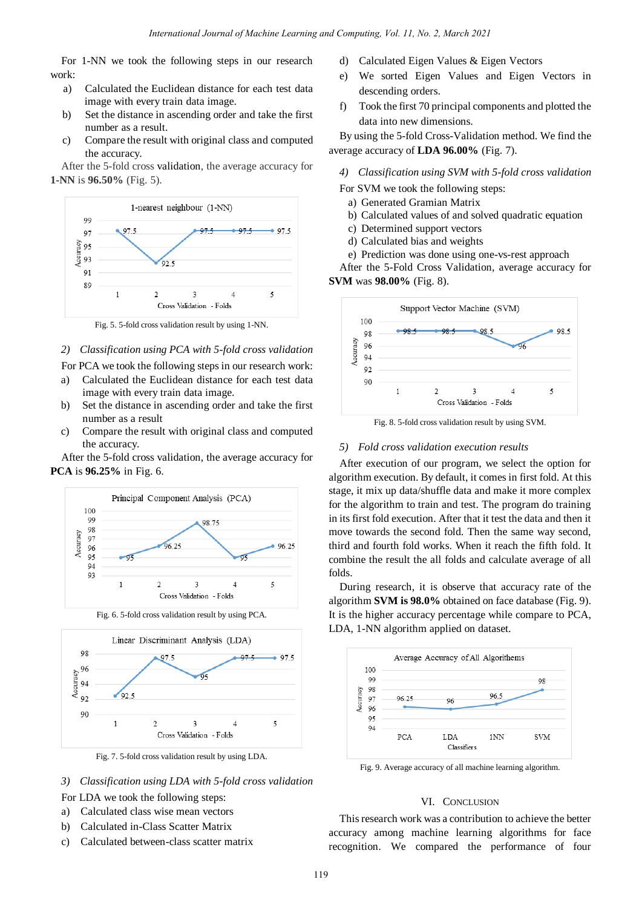For 1-NN we took the following steps in our research work:

- a) Calculated the Euclidean distance for each test data image with every train data image.
- b) Set the distance in ascending order and take the first number as a result.
- c) Compare the result with original class and computed the accuracy.

After the 5-fold cross validation, the average accuracy for **1-NN** is **96.50%** (Fig. 5).



Fig. 5. 5-fold cross validation result by using 1-NN.

# *2) Classification using PCA with 5-fold cross validation*

For PCA we took the following steps in our research work:

- a) Calculated the Euclidean distance for each test data image with every train data image.
- b) Set the distance in ascending order and take the first number as a result
- c) Compare the result with original class and computed the accuracy.

After the 5-fold cross validation, the average accuracy for **PCA** is **96.25%** in Fig. 6.



Fig. 6. 5-fold cross validation result by using PCA.



Fig. 7. 5-fold cross validation result by using LDA.

*3) Classification using LDA with 5-fold cross validation* 

For LDA we took the following steps:

- a) Calculated class wise mean vectors
- b) Calculated in-Class Scatter Matrix
- c) Calculated between-class scatter matrix
- d) Calculated Eigen Values & Eigen Vectors
- e) We sorted Eigen Values and Eigen Vectors in descending orders.
- f) Took the first 70 principal components and plotted the data into new dimensions.

By using the 5-fold Cross-Validation method. We find the average accuracy of **LDA 96.00%** (Fig. 7).

*4) Classification using SVM with 5-fold cross validation* 

- For SVM we took the following steps:
	- a) Generated Gramian Matrix
	- b) Calculated values of and solved quadratic equation
	- c) Determined support vectors
	- d) Calculated bias and weights
	- e) Prediction was done using one-vs-rest approach

After the 5-Fold Cross Validation, average accuracy for **SVM** was **98.00%** (Fig. 8).



Fig. 8. 5-fold cross validation result by using SVM.

# *5) Fold cross validation execution results*

After execution of our program, we select the option for algorithm execution. By default, it comes in first fold. At this stage, it mix up data/shuffle data and make it more complex for the algorithm to train and test. The program do training in its first fold execution. After that it test the data and then it move towards the second fold. Then the same way second, third and fourth fold works. When it reach the fifth fold. It combine the result the all folds and calculate average of all folds.

During research, it is observe that accuracy rate of the algorithm **SVM is 98.0%** obtained on face database (Fig. 9). It is the higher accuracy percentage while compare to PCA, LDA, 1-NN algorithm applied on dataset.



Fig. 9. Average accuracy of all machine learning algorithm.

# VI. CONCLUSION

This research work was a contribution to achieve the better accuracy among machine learning algorithms for face recognition. We compared the performance of four